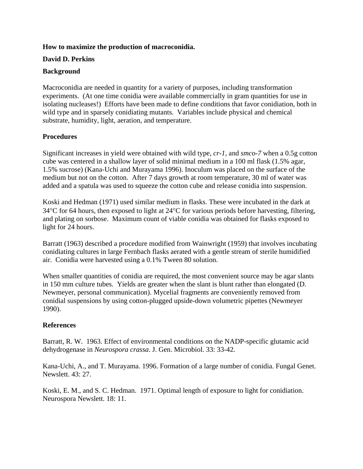## **How to maximize the production of macroconidia.**

## **David D. Perkins**

## **Background**

Macroconidia are needed in quantity for a variety of purposes, including transformation experiments. (At one time conidia were available commercially in gram quantities for use in isolating nucleases!) Efforts have been made to define conditions that favor conidiation, both in wild type and in sparsely conidiating mutants. Variables include physical and chemical substrate, humidity, light, aeration, and temperature.

# **Procedures**

Significant increases in yield were obtained with wild type, *cr-1*, and *smco-7* when a 0.5g cotton cube was centered in a shallow layer of solid minimal medium in a 100 ml flask (1.5% agar, 1.5% sucrose) (Kana-Uchi and Murayama 1996). Inoculum was placed on the surface of the medium but not on the cotton. After 7 days growth at room temperature, 30 ml of water was added and a spatula was used to squeeze the cotton cube and release conidia into suspension.

Koski and Hedman (1971) used similar medium in flasks. These were incubated in the dark at 34°C for 64 hours, then exposed to light at 24°C for various periods before harvesting, filtering, and plating on sorbose. Maximum count of viable conidia was obtained for flasks exposed to light for 24 hours.

Barratt (1963) described a procedure modified from Wainwright (1959) that involves incubating conidiating cultures in large Fernbach flasks aerated with a gentle stream of sterile humidified air. Conidia were harvested using a 0.1% Tween 80 solution.

When smaller quantities of conidia are required, the most convenient source may be agar slants in 150 mm culture tubes. Yields are greater when the slant is blunt rather than elongated (D. Newmeyer, personal communication). Mycelial fragments are conveniently removed from conidial suspensions by using cotton-plugged upside-down volumetric pipettes (Newmeyer 1990).

#### **References**

Barratt, R. W. 1963. Effect of environmental conditions on the NADP-specific glutamic acid dehydrogenase in *Neurospora crassa*. J. Gen. Microbiol. 33: 33-42.

Kana-Uchi, A., and T. Murayama. 1996. Formation of a large number of conidia. Fungal Genet. Newslett. 43: 27.

Koski, E. M., and S. C. Hedman. 1971. Optimal length of exposure to light for conidiation. Neurospora Newslett. 18: 11.